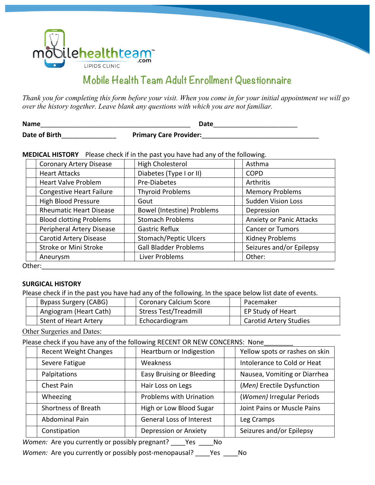

# **Mobile Health Team Adult Enrollment Questionnaire**

*Thank you for completing this form before your visit. When you come in for your initial appointment we will go over the history together. Leave blank any questions with which you are not familiar.*

| <b>Name</b>   | Date                          |
|---------------|-------------------------------|
| Date of Birth | <b>Primary Care Provider:</b> |

**MEDICAL HISTORY** Please check if in the past you have had any of the following.

| <b>Coronary Artery Disease</b>  | High Cholesterol                  | Asthma                          |
|---------------------------------|-----------------------------------|---------------------------------|
| <b>Heart Attacks</b>            | Diabetes (Type I or II)           | <b>COPD</b>                     |
| <b>Heart Valve Problem</b>      | <b>Pre-Diabetes</b>               | Arthritis                       |
| <b>Congestive Heart Failure</b> | <b>Thyroid Problems</b>           | <b>Memory Problems</b>          |
| <b>High Blood Pressure</b>      | Gout                              | <b>Sudden Vision Loss</b>       |
| <b>Rheumatic Heart Disease</b>  | <b>Bowel (Intestine) Problems</b> | Depression                      |
| <b>Blood clotting Problems</b>  | <b>Stomach Problems</b>           | <b>Anxiety or Panic Attacks</b> |
| Peripheral Artery Disease       | <b>Gastric Reflux</b>             | <b>Cancer or Tumors</b>         |
| <b>Carotid Artery Disease</b>   | <b>Stomach/Peptic Ulcers</b>      | <b>Kidney Problems</b>          |
| Stroke or Mini Stroke           | <b>Gall Bladder Problems</b>      | Seizures and/or Epilepsy        |
| Aneurysm                        | Liver Problems                    | Other:                          |
| Other:                          |                                   |                                 |

# **SURGICAL HISTORY**

Please check if in the past you have had any of the following. In the space below list date of events.

| <b>Bypass Surgery (CABG)</b> | Coronary Calcium Score       | Pacemaker                     |
|------------------------------|------------------------------|-------------------------------|
| Angiogram (Heart Cath)       | <b>Stress Test/Treadmill</b> | EP Study of Heart             |
| <b>Stent of Heart Artery</b> | Echocardiogram               | <b>Carotid Artery Studies</b> |

Other Surgeries and Dates:

Please check if you have any of the following RECENT OR NEW CONCERNS: None

| <b>Recent Weight Changes</b> | Heartburn or Indigestion         | Yellow spots or rashes on skin |
|------------------------------|----------------------------------|--------------------------------|
| Severe Fatigue               | Weakness                         | Intolerance to Cold or Heat    |
| Palpitations                 | <b>Easy Bruising or Bleeding</b> | Nausea, Vomiting or Diarrhea   |
| <b>Chest Pain</b>            | Hair Loss on Legs                | (Men) Erectile Dysfunction     |
| Wheezing                     | <b>Problems with Urination</b>   | (Women) Irregular Periods      |
| <b>Shortness of Breath</b>   | High or Low Blood Sugar          | Joint Pains or Muscle Pains    |
| <b>Abdominal Pain</b>        | <b>General Loss of Interest</b>  | Leg Cramps                     |
| Constipation                 | <b>Depression or Anxiety</b>     | Seizures and/or Epilepsy       |

Women: Are you currently or possibly pregnant? \_\_\_\_Yes \_\_\_\_No

*Women:* Are you currently or possibly post-menopausal? \_\_\_\_Yes \_\_\_\_No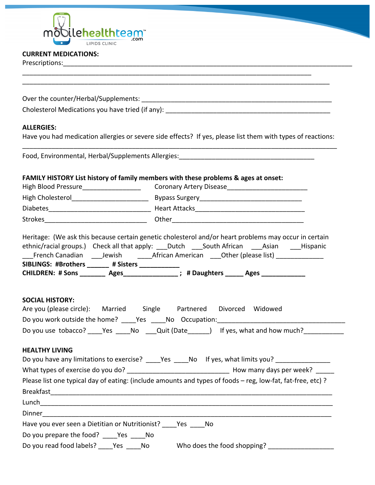

## **CURRENT MEDICATIONS:**

Prescriptions:\_\_\_\_\_\_\_\_\_\_\_\_\_\_\_\_\_\_\_\_\_\_\_\_\_\_\_\_\_\_\_\_\_\_\_\_\_\_\_\_\_\_\_\_\_\_\_\_\_\_\_\_\_\_\_\_\_\_\_\_\_\_\_\_\_\_\_\_\_\_\_\_\_\_\_\_\_\_\_

\_\_\_\_\_\_\_\_\_\_\_\_\_\_\_\_\_\_\_\_\_\_\_\_\_\_\_\_\_\_\_\_\_\_\_\_\_\_\_\_\_\_\_\_\_\_\_\_\_\_\_\_\_\_\_\_\_\_\_\_\_\_\_\_\_\_\_\_\_\_\_\_\_\_\_\_\_\_\_ \_\_\_\_\_\_\_\_\_\_\_\_\_\_\_\_\_\_\_\_\_\_\_\_\_\_\_\_\_\_\_\_\_\_\_\_\_\_\_\_\_\_\_\_\_\_\_\_\_\_\_\_\_\_\_\_\_\_\_\_\_\_\_\_\_\_\_\_\_\_\_\_\_\_\_\_\_\_\_\_\_\_\_\_ Over the counter/Herbal/Supplements: \_\_\_\_\_\_\_\_\_\_\_\_\_\_\_\_\_\_\_\_\_\_\_\_\_\_\_\_\_\_\_\_\_\_\_\_\_\_\_\_\_\_\_\_\_\_\_\_\_\_\_\_ Cholesterol Medications you have tried (if any):  $\blacksquare$ **ALLERGIES:** Have you had medication allergies or severe side effects? If yes, please list them with types of reactions: \_\_\_\_\_\_\_\_\_\_\_\_\_\_\_\_\_\_\_\_\_\_\_\_\_\_\_\_\_\_\_\_\_\_\_\_\_\_\_\_\_\_\_\_\_\_\_\_\_\_\_\_\_\_\_\_\_\_\_\_\_\_\_\_\_\_\_\_\_\_\_\_\_\_\_\_\_\_\_\_\_\_\_\_\_\_ Food, Environmental, Herbal/Supplements Allergies: **FAMILY HISTORY List history of family members with these problems & ages at onset:** High Blood Pressure\_\_\_\_\_\_\_\_\_\_\_\_\_\_\_\_\_\_\_\_\_\_\_\_\_\_\_\_\_Coronary Artery Disease\_\_\_\_\_\_\_\_\_\_\_\_\_\_\_\_\_\_\_\_\_\_\_\_\_\_\_\_\_ High Cholesterol\_\_\_\_\_\_\_\_\_\_\_\_\_\_\_\_\_\_\_\_\_ Bypass Surgery\_\_\_\_\_\_\_\_\_\_\_\_\_\_\_\_\_\_\_\_\_\_\_\_\_\_\_\_ Diabetes\_\_\_\_\_\_\_\_\_\_\_\_\_\_\_\_\_\_\_\_\_\_\_\_\_\_\_\_ Heart Attacks\_\_\_\_\_\_\_\_\_\_\_\_\_\_\_\_\_\_\_\_\_\_\_\_\_\_\_\_\_\_ Strokes\_\_\_\_\_\_\_\_\_\_\_\_\_\_\_\_\_\_\_\_\_\_\_\_\_\_\_\_ Other\_\_\_\_\_\_\_\_\_\_\_\_\_\_\_\_\_\_\_\_\_\_\_\_\_\_\_\_\_\_\_\_\_\_\_\_ Heritage: (We ask this because certain genetic cholesterol and/or heart problems may occur in certain ethnic/racial groups.) Check all that apply: Dutch South African Asian Hispanic \_\_French Canadian \_\_\_\_Jewish \_\_\_\_\_African American \_\_\_Other (please list) \_\_\_\_\_\_\_\_\_\_\_\_\_\_\_\_\_ SIBLINGS: #Brothers \_\_\_\_\_\_ # Sisters \_\_\_\_\_\_\_\_\_\_\_ CHILDREN: # Sons \_\_\_\_\_\_\_\_ Ages\_\_\_\_\_\_\_\_\_\_\_\_\_\_\_; # Daughters \_\_\_\_\_\_ Ages \_\_\_\_\_\_\_\_\_\_ **SOCIAL HISTORY:** Are you (please circle): Married Single Partnered Divorced Widowed Do you work outside the home? \_\_\_\_Yes \_\_\_\_No Occupation:\_\_\_\_\_\_\_\_\_\_\_\_\_\_\_\_\_\_\_\_\_\_\_\_ Do you use tobacco? \_\_\_\_Yes \_\_\_\_\_No \_\_\_\_Quit (Date \_\_\_\_\_) If yes, what and how much? **HEALTHY LIVING** Do you have any limitations to exercise? \_\_\_\_Yes \_\_\_\_No If yes, what limits you? \_\_\_\_\_\_\_\_\_\_\_\_\_\_\_\_\_ What types of exercise do you do? \_\_\_\_\_\_\_\_\_\_\_\_\_\_\_\_\_\_\_\_\_\_\_\_\_\_\_\_ How many days per week? \_\_\_\_\_ Please list one typical day of eating: (include amounts and types of foods – reg, low-fat, fat-free, etc) ? Breakfast\_\_\_\_\_\_\_\_\_\_\_\_\_\_\_\_\_\_\_\_\_\_\_\_\_\_\_\_\_\_\_\_\_\_\_\_\_\_\_\_\_\_\_\_\_\_\_\_\_\_\_\_\_\_\_\_\_\_\_\_\_\_\_\_\_\_\_\_\_\_\_\_\_\_\_\_\_ Lunch\_\_\_\_\_\_\_\_\_\_\_\_\_\_\_\_\_\_\_\_\_\_\_\_\_\_\_\_\_\_\_\_\_\_\_\_\_\_\_\_\_\_\_\_\_\_\_\_\_\_\_\_\_\_\_\_\_\_\_\_\_\_\_\_\_\_\_\_\_\_\_\_\_\_\_\_\_\_\_\_ Dinner\_\_\_\_\_\_\_\_\_\_\_\_\_\_\_\_\_\_\_\_\_\_\_\_\_\_\_\_\_\_\_\_\_\_\_\_\_\_\_\_\_\_\_\_\_\_\_\_\_\_\_\_\_\_\_\_\_\_\_\_\_\_\_\_\_\_\_\_\_\_\_\_\_\_\_\_\_\_\_ Have you ever seen a Dietitian or Nutritionist? Yes No Do you prepare the food? \_\_\_\_\_Yes \_\_\_\_\_No Do you read food labels? \_\_\_\_Yes \_\_\_\_No Who does the food shopping? \_\_\_\_\_\_\_\_\_\_\_\_